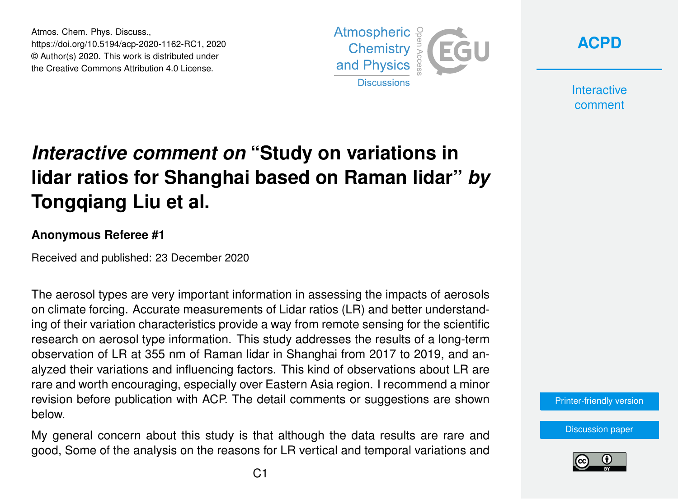Atmos. Chem. Phys. Discuss., https://doi.org/10.5194/acp-2020-1162-RC1, 2020 © Author(s) 2020. This work is distributed under the Creative Commons Attribution 4.0 License.





**Interactive** comment

## *Interactive comment on* **"Study on variations in lidar ratios for Shanghai based on Raman lidar"** *by* **Tongqiang Liu et al.**

## **Anonymous Referee #1**

Received and published: 23 December 2020

The aerosol types are very important information in assessing the impacts of aerosols on climate forcing. Accurate measurements of Lidar ratios (LR) and better understanding of their variation characteristics provide a way from remote sensing for the scientific research on aerosol type information. This study addresses the results of a long-term observation of LR at 355 nm of Raman lidar in Shanghai from 2017 to 2019, and analyzed their variations and influencing factors. This kind of observations about LR are rare and worth encouraging, especially over Eastern Asia region. I recommend a minor revision before publication with ACP. The detail comments or suggestions are shown below.

My general concern about this study is that although the data results are rare and good, Some of the analysis on the reasons for LR vertical and temporal variations and



[Discussion paper](https://acp.copernicus.org/preprints/acp-2020-1162)

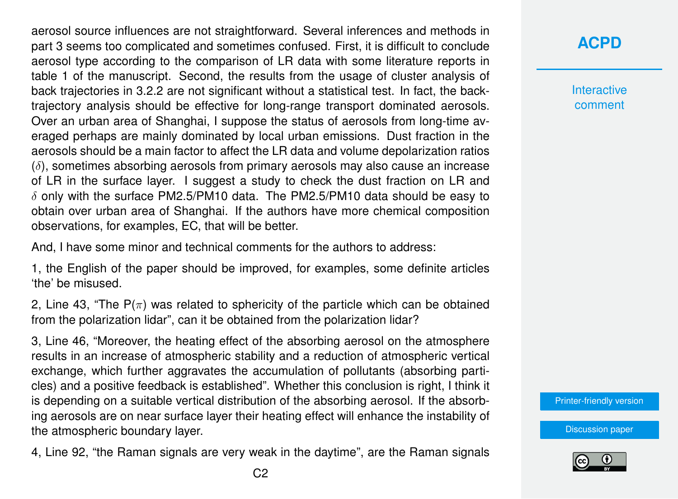aerosol source influences are not straightforward. Several inferences and methods in part 3 seems too complicated and sometimes confused. First, it is difficult to conclude aerosol type according to the comparison of LR data with some literature reports in table 1 of the manuscript. Second, the results from the usage of cluster analysis of back trajectories in 3.2.2 are not significant without a statistical test. In fact, the backtrajectory analysis should be effective for long-range transport dominated aerosols. Over an urban area of Shanghai, I suppose the status of aerosols from long-time averaged perhaps are mainly dominated by local urban emissions. Dust fraction in the aerosols should be a main factor to affect the LR data and volume depolarization ratios  $(\delta)$ , sometimes absorbing aerosols from primary aerosols may also cause an increase of LR in the surface layer. I suggest a study to check the dust fraction on LR and  $\delta$  only with the surface PM2.5/PM10 data. The PM2.5/PM10 data should be easy to obtain over urban area of Shanghai. If the authors have more chemical composition observations, for examples, EC, that will be better.

And, I have some minor and technical comments for the authors to address:

1, the English of the paper should be improved, for examples, some definite articles 'the' be misused.

2, Line 43, "The  $P(\pi)$  was related to sphericity of the particle which can be obtained from the polarization lidar", can it be obtained from the polarization lidar?

3, Line 46, "Moreover, the heating effect of the absorbing aerosol on the atmosphere results in an increase of atmospheric stability and a reduction of atmospheric vertical exchange, which further aggravates the accumulation of pollutants (absorbing particles) and a positive feedback is established". Whether this conclusion is right, I think it is depending on a suitable vertical distribution of the absorbing aerosol. If the absorbing aerosols are on near surface layer their heating effect will enhance the instability of the atmospheric boundary layer.

4, Line 92, "the Raman signals are very weak in the daytime", are the Raman signals

## **[ACPD](https://acp.copernicus.org/preprints/)**

**Interactive** comment

[Printer-friendly version](https://acp.copernicus.org/preprints/acp-2020-1162/acp-2020-1162-RC1-print.pdf)

[Discussion paper](https://acp.copernicus.org/preprints/acp-2020-1162)